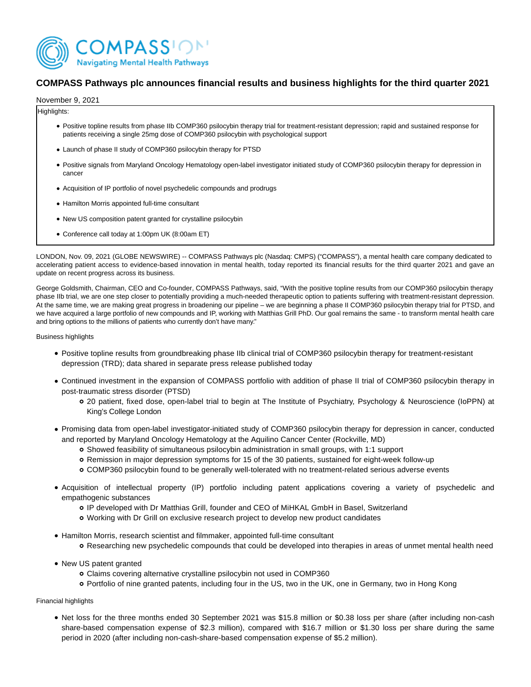

# **COMPASS Pathways plc announces financial results and business highlights for the third quarter 2021**

November 9, 2021

Highlights:

- Positive topline results from phase IIb COMP360 psilocybin therapy trial for treatment-resistant depression; rapid and sustained response for patients receiving a single 25mg dose of COMP360 psilocybin with psychological support
- Launch of phase II study of COMP360 psilocybin therapy for PTSD
- Positive signals from Maryland Oncology Hematology open-label investigator initiated study of COMP360 psilocybin therapy for depression in cancer
- Acquisition of IP portfolio of novel psychedelic compounds and prodrugs
- Hamilton Morris appointed full-time consultant
- New US composition patent granted for crystalline psilocybin
- Conference call today at 1:00pm UK (8:00am ET)

LONDON, Nov. 09, 2021 (GLOBE NEWSWIRE) -- COMPASS Pathways plc (Nasdaq: CMPS) ("COMPASS"), a mental health care company dedicated to accelerating patient access to evidence-based innovation in mental health, today reported its financial results for the third quarter 2021 and gave an update on recent progress across its business.

George Goldsmith, Chairman, CEO and Co-founder, COMPASS Pathways, said, "With the positive topline results from our COMP360 psilocybin therapy phase IIb trial, we are one step closer to potentially providing a much-needed therapeutic option to patients suffering with treatment-resistant depression. At the same time, we are making great progress in broadening our pipeline – we are beginning a phase II COMP360 psilocybin therapy trial for PTSD, and we have acquired a large portfolio of new compounds and IP, working with Matthias Grill PhD. Our goal remains the same - to transform mental health care and bring options to the millions of patients who currently don't have many."

Business highlights

- Positive topline results from groundbreaking phase IIb clinical trial of COMP360 psilocybin therapy for treatment-resistant depression (TRD); data shared in separate press release published today
- Continued investment in the expansion of COMPASS portfolio with addition of phase II trial of COMP360 psilocybin therapy in post-traumatic stress disorder (PTSD)
	- 20 patient, fixed dose, open-label trial to begin at The Institute of Psychiatry, Psychology & Neuroscience (IoPPN) at King's College London
- Promising data from open-label investigator-initiated study of COMP360 psilocybin therapy for depression in cancer, conducted and reported by Maryland Oncology Hematology at the Aquilino Cancer Center (Rockville, MD)
	- Showed feasibility of simultaneous psilocybin administration in small groups, with 1:1 support
	- Remission in major depression symptoms for 15 of the 30 patients, sustained for eight-week follow-up
	- COMP360 psilocybin found to be generally well-tolerated with no treatment-related serious adverse events
- Acquisition of intellectual property (IP) portfolio including patent applications covering a variety of psychedelic and empathogenic substances
	- IP developed with Dr Matthias Grill, founder and CEO of MiHKAL GmbH in Basel, Switzerland
	- Working with Dr Grill on exclusive research project to develop new product candidates
- Hamilton Morris, research scientist and filmmaker, appointed full-time consultant
	- Researching new psychedelic compounds that could be developed into therapies in areas of unmet mental health need
- New US patent granted
	- Claims covering alternative crystalline psilocybin not used in COMP360
	- Portfolio of nine granted patents, including four in the US, two in the UK, one in Germany, two in Hong Kong

Financial highlights

• Net loss for the three months ended 30 September 2021 was \$15.8 million or \$0.38 loss per share (after including non-cash share-based compensation expense of \$2.3 million), compared with \$16.7 million or \$1.30 loss per share during the same period in 2020 (after including non-cash-share-based compensation expense of \$5.2 million).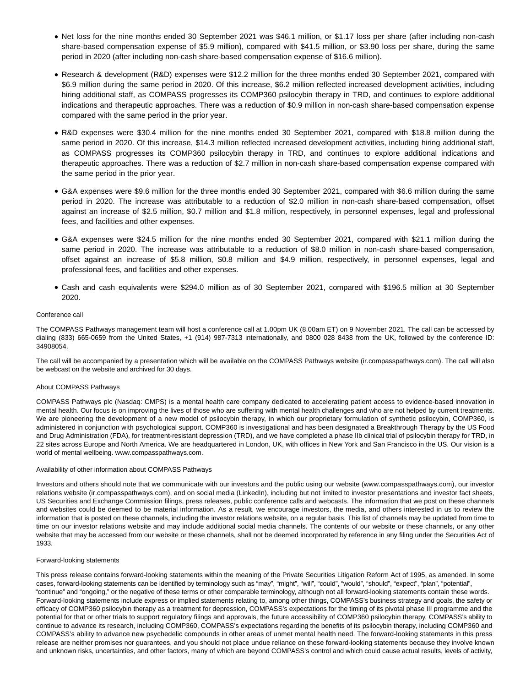- Net loss for the nine months ended 30 September 2021 was \$46.1 million, or \$1.17 loss per share (after including non-cash share-based compensation expense of \$5.9 million), compared with \$41.5 million, or \$3.90 loss per share, during the same period in 2020 (after including non-cash share-based compensation expense of \$16.6 million).
- Research & development (R&D) expenses were \$12.2 million for the three months ended 30 September 2021, compared with \$6.9 million during the same period in 2020. Of this increase, \$6.2 million reflected increased development activities, including hiring additional staff, as COMPASS progresses its COMP360 psilocybin therapy in TRD, and continues to explore additional indications and therapeutic approaches. There was a reduction of \$0.9 million in non-cash share-based compensation expense compared with the same period in the prior year.
- R&D expenses were \$30.4 million for the nine months ended 30 September 2021, compared with \$18.8 million during the same period in 2020. Of this increase, \$14.3 million reflected increased development activities, including hiring additional staff, as COMPASS progresses its COMP360 psilocybin therapy in TRD, and continues to explore additional indications and therapeutic approaches. There was a reduction of \$2.7 million in non-cash share-based compensation expense compared with the same period in the prior year.
- G&A expenses were \$9.6 million for the three months ended 30 September 2021, compared with \$6.6 million during the same period in 2020. The increase was attributable to a reduction of \$2.0 million in non-cash share-based compensation, offset against an increase of \$2.5 million, \$0.7 million and \$1.8 million, respectively, in personnel expenses, legal and professional fees, and facilities and other expenses.
- G&A expenses were \$24.5 million for the nine months ended 30 September 2021, compared with \$21.1 million during the same period in 2020. The increase was attributable to a reduction of \$8.0 million in non-cash share-based compensation, offset against an increase of \$5.8 million, \$0.8 million and \$4.9 million, respectively, in personnel expenses, legal and professional fees, and facilities and other expenses.
- Cash and cash equivalents were \$294.0 million as of 30 September 2021, compared with \$196.5 million at 30 September 2020.

### Conference call

The COMPASS Pathways management team will host a conference call at 1.00pm UK (8.00am ET) on 9 November 2021. The call can be accessed by dialing (833) 665-0659 from the United States, +1 (914) 987-7313 internationally, and 0800 028 8438 from the UK, followed by the conference ID: 34908054.

The call will be accompanied by a presentation which will be available on the COMPASS Pathways website (ir.compasspathways.com). The call will also be webcast on the website and archived for 30 days.

### About COMPASS Pathways

COMPASS Pathways plc (Nasdaq: CMPS) is a mental health care company dedicated to accelerating patient access to evidence-based innovation in mental health. Our focus is on improving the lives of those who are suffering with mental health challenges and who are not helped by current treatments. We are pioneering the development of a new model of psilocybin therapy, in which our proprietary formulation of synthetic psilocybin, COMP360, is administered in conjunction with psychological support. COMP360 is investigational and has been designated a Breakthrough Therapy by the US Food and Drug Administration (FDA), for treatment-resistant depression (TRD), and we have completed a phase IIb clinical trial of psilocybin therapy for TRD, in 22 sites across Europe and North America. We are headquartered in London, UK, with offices in New York and San Francisco in the US. Our vision is a world of mental wellbeing. www.compasspathways.com.

### Availability of other information about COMPASS Pathways

Investors and others should note that we communicate with our investors and the public using our website (www.compasspathways.com), our investor relations website (ir.compasspathways.com), and on social media (LinkedIn), including but not limited to investor presentations and investor fact sheets, US Securities and Exchange Commission filings, press releases, public conference calls and webcasts. The information that we post on these channels and websites could be deemed to be material information. As a result, we encourage investors, the media, and others interested in us to review the information that is posted on these channels, including the investor relations website, on a regular basis. This list of channels may be updated from time to time on our investor relations website and may include additional social media channels. The contents of our website or these channels, or any other website that may be accessed from our website or these channels, shall not be deemed incorporated by reference in any filing under the Securities Act of 1933.

#### Forward-looking statements

This press release contains forward-looking statements within the meaning of the Private Securities Litigation Reform Act of 1995, as amended. In some cases, forward-looking statements can be identified by terminology such as "may", "might", "will", "could", "would", "should", "expect", "plan", "potential", "continue" and "ongoing," or the negative of these terms or other comparable terminology, although not all forward-looking statements contain these words. Forward-looking statements include express or implied statements relating to, among other things, COMPASS's business strategy and goals, the safety or efficacy of COMP360 psilocybin therapy as a treatment for depression, COMPASS's expectations for the timing of its pivotal phase III programme and the potential for that or other trials to support regulatory filings and approvals, the future accessibility of COMP360 psilocybin therapy, COMPASS's ability to continue to advance its research, including COMP360, COMPASS's expectations regarding the benefits of its psilocybin therapy, including COMP360 and COMPASS's ability to advance new psychedelic compounds in other areas of unmet mental health need. The forward-looking statements in this press release are neither promises nor guarantees, and you should not place undue reliance on these forward-looking statements because they involve known and unknown risks, uncertainties, and other factors, many of which are beyond COMPASS's control and which could cause actual results, levels of activity,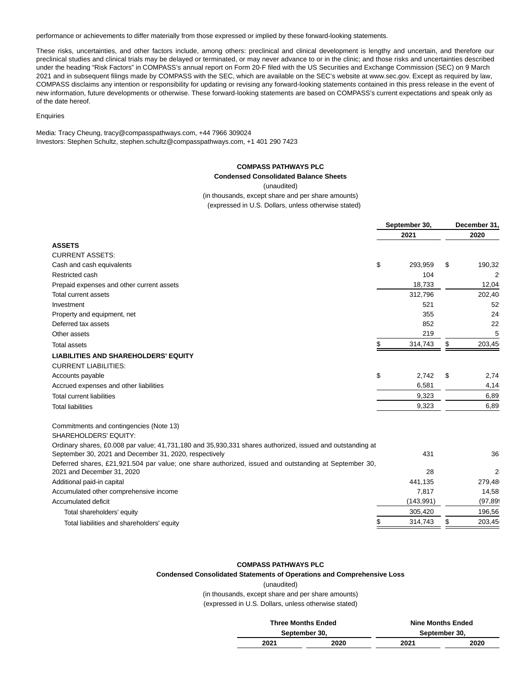performance or achievements to differ materially from those expressed or implied by these forward-looking statements.

These risks, uncertainties, and other factors include, among others: preclinical and clinical development is lengthy and uncertain, and therefore our preclinical studies and clinical trials may be delayed or terminated, or may never advance to or in the clinic; and those risks and uncertainties described under the heading "Risk Factors" in COMPASS's annual report on Form 20-F filed with the US Securities and Exchange Commission (SEC) on 9 March 2021 and in subsequent filings made by COMPASS with the SEC, which are available on the SEC's website at www.sec.gov. Except as required by law, COMPASS disclaims any intention or responsibility for updating or revising any forward-looking statements contained in this press release in the event of new information, future developments or otherwise. These forward-looking statements are based on COMPASS's current expectations and speak only as of the date hereof.

### **Enquiries**

Media: Tracy Cheung, tracy@compasspathways.com, +44 7966 309024 Investors: Stephen Schultz, stephen.schultz@compasspathways.com, +1 401 290 7423

# **COMPASS PATHWAYS PLC**

# **Condensed Consolidated Balance Sheets**

(unaudited)

(in thousands, except share and per share amounts) (expressed in U.S. Dollars, unless otherwise stated)

|                                                                                                                                                                     | September 30, |            | December 31, |                |  |
|---------------------------------------------------------------------------------------------------------------------------------------------------------------------|---------------|------------|--------------|----------------|--|
|                                                                                                                                                                     |               | 2021       |              | 2020           |  |
| <b>ASSETS</b>                                                                                                                                                       |               |            |              |                |  |
| <b>CURRENT ASSETS:</b>                                                                                                                                              |               |            |              |                |  |
| Cash and cash equivalents                                                                                                                                           | \$            | 293,959    | \$           | 190,32         |  |
| Restricted cash                                                                                                                                                     |               | 104        |              | $2^{\circ}$    |  |
| Prepaid expenses and other current assets                                                                                                                           |               | 18,733     |              | 12,04          |  |
| Total current assets                                                                                                                                                |               | 312,796    |              | 202,40         |  |
| Investment                                                                                                                                                          |               | 521        |              | 52             |  |
| Property and equipment, net                                                                                                                                         |               | 355        |              | 24             |  |
| Deferred tax assets                                                                                                                                                 |               | 852        |              | 22             |  |
| Other assets                                                                                                                                                        |               | 219        |              | 5              |  |
| Total assets                                                                                                                                                        | \$            | 314,743    | \$           | 203,45         |  |
| <b>LIABILITIES AND SHAREHOLDERS' EQUITY</b>                                                                                                                         |               |            |              |                |  |
| <b>CURRENT LIABILITIES:</b>                                                                                                                                         |               |            |              |                |  |
| Accounts payable                                                                                                                                                    | \$            | 2.742      | \$           | 2,74           |  |
| Accrued expenses and other liabilities                                                                                                                              |               | 6,581      |              | 4,14           |  |
| <b>Total current liabilities</b>                                                                                                                                    |               | 9,323      |              | 6,89           |  |
| <b>Total liabilities</b>                                                                                                                                            |               | 9,323      |              | 6,89           |  |
| Commitments and contingencies (Note 13)                                                                                                                             |               |            |              |                |  |
| SHAREHOLDERS' EQUITY:                                                                                                                                               |               |            |              |                |  |
| Ordinary shares, £0.008 par value; 41,731,180 and 35,930,331 shares authorized, issued and outstanding at<br>September 30, 2021 and December 31, 2020, respectively |               | 431        |              | 36             |  |
| Deferred shares, £21,921.504 par value; one share authorized, issued and outstanding at September 30,                                                               |               |            |              |                |  |
| 2021 and December 31, 2020                                                                                                                                          |               | 28         |              | 2 <sub>i</sub> |  |
| Additional paid-in capital                                                                                                                                          |               | 441,135    |              | 279,48         |  |
| Accumulated other comprehensive income                                                                                                                              |               | 7,817      |              | 14,58          |  |
| <b>Accumulated deficit</b>                                                                                                                                          |               | (143, 991) |              | (97, 89)       |  |
| Total shareholders' equity                                                                                                                                          |               | 305,420    |              | 196,56         |  |
| Total liabilities and shareholders' equity                                                                                                                          | S             | 314,743    | \$           | 203,45         |  |

### **COMPASS PATHWAYS PLC**

**Condensed Consolidated Statements of Operations and Comprehensive Loss**

#### (unaudited)

(in thousands, except share and per share amounts) (expressed in U.S. Dollars, unless otherwise stated)

| <b>Three Months Ended</b> |      | <b>Nine Months Ended</b> |      |  |  |
|---------------------------|------|--------------------------|------|--|--|
| September 30.             |      | September 30.            |      |  |  |
| 2021                      | 2020 | 2021                     | 2020 |  |  |